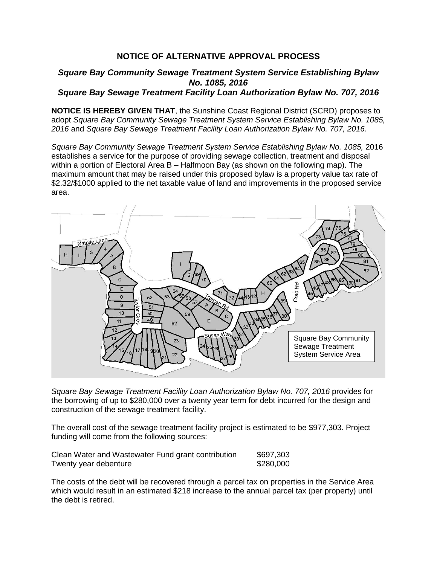## **NOTICE OF ALTERNATIVE APPROVAL PROCESS**

## *Square Bay Community Sewage Treatment System Service Establishing Bylaw No. 1085, 2016 Square Bay Sewage Treatment Facility Loan Authorization Bylaw No. 707, 2016*

**NOTICE IS HEREBY GIVEN THAT**, the Sunshine Coast Regional District (SCRD) proposes to adopt *Square Bay Community Sewage Treatment System Service Establishing Bylaw No. 1085, 2016* and *Square Bay Sewage Treatment Facility Loan Authorization Bylaw No. 707, 2016.*

*Square Bay Community Sewage Treatment System Service Establishing Bylaw No. 1085,* 2016 establishes a service for the purpose of providing sewage collection, treatment and disposal within a portion of Electoral Area B – Halfmoon Bay (as shown on the following map). The maximum amount that may be raised under this proposed bylaw is a property value tax rate of \$2.32/\$1000 applied to the net taxable value of land and improvements in the proposed service area.



*Square Bay Sewage Treatment Facility Loan Authorization Bylaw No. 707, 2016* provides for the borrowing of up to \$280,000 over a twenty year term for debt incurred for the design and construction of the sewage treatment facility.

The overall cost of the sewage treatment facility project is estimated to be \$977,303. Project funding will come from the following sources:

| Clean Water and Wastewater Fund grant contribution | \$697,303 |
|----------------------------------------------------|-----------|
| Twenty year debenture                              | \$280,000 |

The costs of the debt will be recovered through a parcel tax on properties in the Service Area which would result in an estimated \$218 increase to the annual parcel tax (per property) until the debt is retired.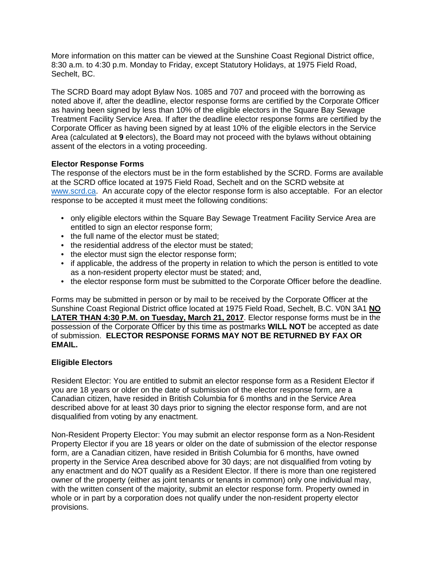More information on this matter can be viewed at the Sunshine Coast Regional District office, 8:30 a.m. to 4:30 p.m. Monday to Friday, except Statutory Holidays, at 1975 Field Road, Sechelt, BC.

The SCRD Board may adopt Bylaw Nos. 1085 and 707 and proceed with the borrowing as noted above if, after the deadline, elector response forms are certified by the Corporate Officer as having been signed by less than 10% of the eligible electors in the Square Bay Sewage Treatment Facility Service Area. If after the deadline elector response forms are certified by the Corporate Officer as having been signed by at least 10% of the eligible electors in the Service Area (calculated at **9** electors), the Board may not proceed with the bylaws without obtaining assent of the electors in a voting proceeding.

## **Elector Response Forms**

The response of the electors must be in the form established by the SCRD. Forms are available at the SCRD office located at 1975 Field Road, Sechelt and on the SCRD website at [www.scrd.ca.](http://www.scrd.ca/) An accurate copy of the elector response form is also acceptable. For an elector response to be accepted it must meet the following conditions:

- only eligible electors within the Square Bay Sewage Treatment Facility Service Area are entitled to sign an elector response form;
- the full name of the elector must be stated:
- the residential address of the elector must be stated:
- the elector must sign the elector response form;
- if applicable, the address of the property in relation to which the person is entitled to vote as a non-resident property elector must be stated; and,
- the elector response form must be submitted to the Corporate Officer before the deadline.

Forms may be submitted in person or by mail to be received by the Corporate Officer at the Sunshine Coast Regional District office located at 1975 Field Road, Sechelt, B.C. V0N 3A1 **NO LATER THAN 4:30 P.M. on Tuesday, March 21, 2017**. Elector response forms must be in the possession of the Corporate Officer by this time as postmarks **WILL NOT** be accepted as date of submission. **ELECTOR RESPONSE FORMS MAY NOT BE RETURNED BY FAX OR EMAIL.**

## **Eligible Electors**

Resident Elector: You are entitled to submit an elector response form as a Resident Elector if you are 18 years or older on the date of submission of the elector response form, are a Canadian citizen, have resided in British Columbia for 6 months and in the Service Area described above for at least 30 days prior to signing the elector response form, and are not disqualified from voting by any enactment.

Non-Resident Property Elector: You may submit an elector response form as a Non-Resident Property Elector if you are 18 years or older on the date of submission of the elector response form, are a Canadian citizen, have resided in British Columbia for 6 months, have owned property in the Service Area described above for 30 days; are not disqualified from voting by any enactment and do NOT qualify as a Resident Elector. If there is more than one registered owner of the property (either as joint tenants or tenants in common) only one individual may, with the written consent of the majority, submit an elector response form. Property owned in whole or in part by a corporation does not qualify under the non-resident property elector provisions.